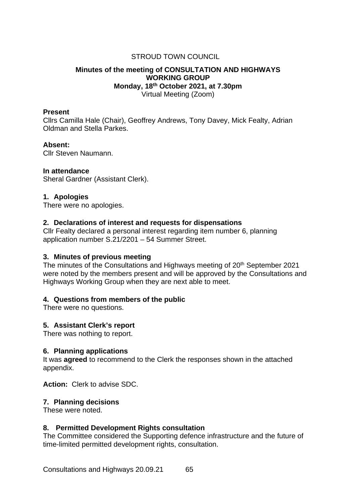# STROUD TOWN COUNCIL

#### **Minutes of the meeting of CONSULTATION AND HIGHWAYS WORKING GROUP Monday, 18th October 2021, at 7.30pm** Virtual Meeting (Zoom)

#### **Present**

Cllrs Camilla Hale (Chair), Geoffrey Andrews, Tony Davey, Mick Fealty, Adrian Oldman and Stella Parkes.

#### **Absent:**

Cllr Steven Naumann.

# **In attendance**

Sheral Gardner (Assistant Clerk).

# **1. Apologies**

There were no apologies.

# **2. Declarations of interest and requests for dispensations**

Cllr Fealty declared a personal interest regarding item number 6, planning application number S.21/2201 – 54 Summer Street.

# **3. Minutes of previous meeting**

The minutes of the Consultations and Highways meeting of 20<sup>th</sup> September 2021 were noted by the members present and will be approved by the Consultations and Highways Working Group when they are next able to meet.

# **4. Questions from members of the public**

There were no questions.

# **5. Assistant Clerk's report**

There was nothing to report.

#### **6. Planning applications**

It was **agreed** to recommend to the Clerk the responses shown in the attached appendix.

**Action:** Clerk to advise SDC.

# **7. Planning decisions**

These were noted.

# **8. Permitted Development Rights consultation**

The Committee considered the Supporting defence infrastructure and the future of time-limited permitted development rights, consultation.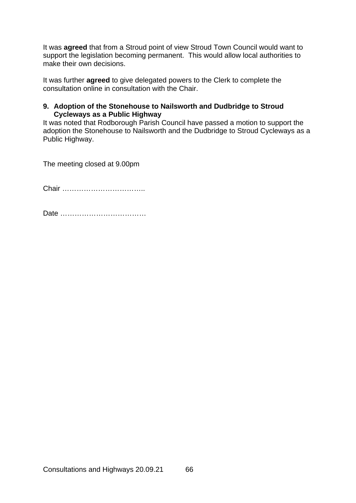It was **agreed** that from a Stroud point of view Stroud Town Council would want to support the legislation becoming permanent. This would allow local authorities to make their own decisions.

It was further **agreed** to give delegated powers to the Clerk to complete the consultation online in consultation with the Chair.

# **9. Adoption of the Stonehouse to Nailsworth and Dudbridge to Stroud Cycleways as a Public Highway**

It was noted that Rodborough Parish Council have passed a motion to support the adoption the Stonehouse to Nailsworth and the Dudbridge to Stroud Cycleways as a Public Highway.

The meeting closed at 9.00pm

Chair ……………………………..

Date ………………………………